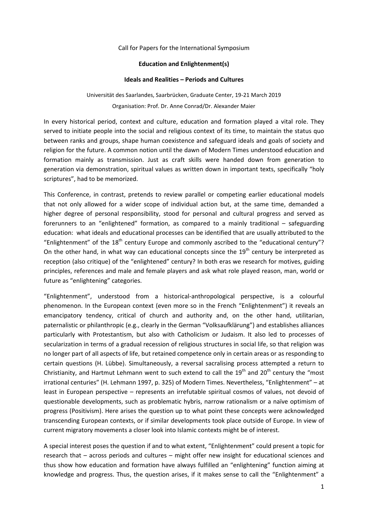## Call for Papers for the International Symposium

## **Education and Enlightenment(s)**

## **Ideals and Realities – Periods and Cultures**

Universität des Saarlandes, Saarbrücken, Graduate Center, 19-21 March 2019 Organisation: Prof. Dr. Anne Conrad/Dr. Alexander Maier

In every historical period, context and culture, education and formation played a vital role. They served to initiate people into the social and religious context of its time, to maintain the status quo between ranks and groups, shape human coexistence and safeguard ideals and goals of society and religion for the future. A common notion until the dawn of Modern Times understood education and formation mainly as transmission. Just as craft skills were handed down from generation to generation via demonstration, spiritual values as written down in important texts, specifically "holy scriptures", had to be memorized.

This Conference, in contrast, pretends to review parallel or competing earlier educational models that not only allowed for a wider scope of individual action but, at the same time, demanded a higher degree of personal responsibility, stood for personal and cultural progress and served as forerunners to an "enlightened" formation, as compared to a mainly traditional – safeguarding education: what ideals and educational processes can be identified that are usually attributed to the "Enlightenment" of the  $18<sup>th</sup>$  century Europe and commonly ascribed to the "educational century"? On the other hand, in what way can educational concepts since the  $19<sup>th</sup>$  century be interpreted as reception (also critique) of the "enlightened" century? In both eras we research for motives, guiding principles, references and male and female players and ask what role played reason, man, world or future as "enlightening" categories.

"Enlightenment", understood from a historical-anthropological perspective, is a colourful phenomenon. In the European context (even more so in the French "Enlightenment") it reveals an emancipatory tendency, critical of church and authority and, on the other hand, utilitarian, paternalistic or philanthropic (e.g., clearly in the German "Volksaufklärung") and establishes alliances particularly with Protestantism, but also with Catholicism or Judaism. It also led to processes of secularization in terms of a gradual recession of religious structures in social life, so that religion was no longer part of all aspects of life, but retained competence only in certain areas or as responding to certain questions (H. Lübbe). Simultaneously, a reversal sacralising process attempted a return to Christianity, and Hartmut Lehmann went to such extend to call the  $19<sup>th</sup>$  and  $20<sup>th</sup>$  century the "most irrational centuries" (H. Lehmann 1997, p. 325) of Modern Times. Nevertheless, "Enlightenment" – at least in European perspective – represents an irrefutable spiritual cosmos of values, not devoid of questionable developments, such as problematic hybris, narrow rationalism or a naïve optimism of progress (Positivism). Here arises the question up to what point these concepts were acknowledged transcending European contexts, or if similar developments took place outside of Europe. In view of current migratory movements a closer look into Islamic contexts might be of interest.

A special interest poses the question if and to what extent, "Enlightenment" could present a topic for research that – across periods and cultures – might offer new insight for educational sciences and thus show how education and formation have always fulfilled an "enlightening" function aiming at knowledge and progress. Thus, the question arises, if it makes sense to call the "Enlightenment" a